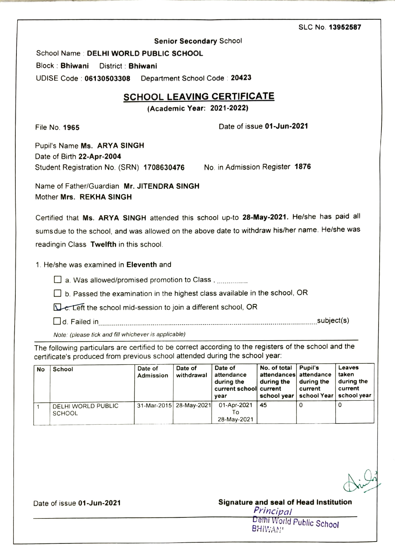## SLC No. 13952587

Senior Secondary School

School Name : DELHI WORLD PUBLIC SCHOOL

Block Bhiwani District: Bhiwani

UDISE Code: 06130503308 Department School Code: 20423

## **SCHOOL LEAVING CERTIFICATE**

(Academic Year: 2021-2022)

File No. 1965 **Participally 1965** Date of issue 01-Jun-2021

Pupil's Name Ms. ARYA SINGH Date of Birth 22-Apr-2004 Student Registration No. (SRN) 1708630476 No. in Admission Register 1876

Name of Father/Guardian Mr. JITENDRA SINGH Mother Mrs. REKHA SINGH

Certified that Ms. ARYA SINGH attended this school up-to 28-May-2021. He/she has paid all sums due to the school, and was allowed on the above date to withdraw his/her name. He/she was readingin Class Twelfth in this school.

1. He/she was examined in Eleventh and

 $\Box$  a. Was allowed/promised promotion to Class,  $\Box$ 

 $\Box$  b. Passed the examination in the highest class available in the school, OR

Le Left the school mid-session to join a different school, OR

Dd. Failed in. \*\*\*\*\* \*~ \*\*\* \*\*\*\*\*\*\*\*\*\*\*\*\*\*\*\*\*\*\*\*\*\*\*\*\*\*\*\*\*\* - ..subject(s)

Note: (please tick and fill whichever is applicable)

The following particulars are certified to be correct according to the registers of the school and the certificate's produced from previous school attended during the school year

| <b>No</b> | School                              | Date of<br>Admission | Date of<br>withdrawal     | Date of<br>attendance<br>during the<br>current school current<br>vear | No. of total $\parallel$<br>attendances attendance<br>during the<br>school year   school Year | <b>Pupil's</b><br>during the<br>current | Leaves<br>taken<br>during the<br>current<br>school year |
|-----------|-------------------------------------|----------------------|---------------------------|-----------------------------------------------------------------------|-----------------------------------------------------------------------------------------------|-----------------------------------------|---------------------------------------------------------|
|           | DELHI WORLD PUBLIC<br><b>SCHOOL</b> |                      | 31-Mar-2015   28-May-2021 | 01-Apr-2021<br>l O<br>28-May-2021                                     | 45                                                                                            |                                         |                                                         |

Date of issue 01-Jun-2021

## Signature and seal of Head Institution<br>*Principal*

Delhi World Public School<br>BHIWAN!